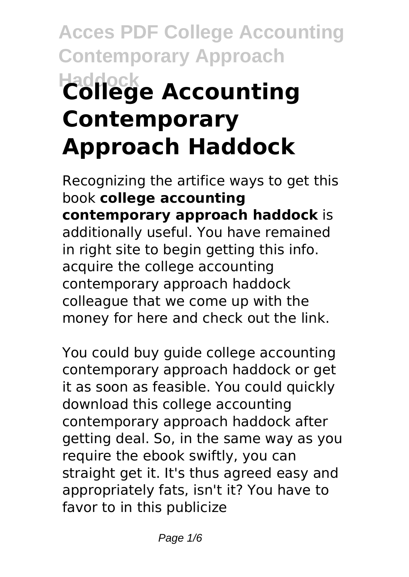# **Acces PDF College Accounting Contemporary Approach Haddock College Accounting Contemporary Approach Haddock**

Recognizing the artifice ways to get this book **college accounting contemporary approach haddock** is additionally useful. You have remained in right site to begin getting this info. acquire the college accounting contemporary approach haddock colleague that we come up with the money for here and check out the link.

You could buy guide college accounting contemporary approach haddock or get it as soon as feasible. You could quickly download this college accounting contemporary approach haddock after getting deal. So, in the same way as you require the ebook swiftly, you can straight get it. It's thus agreed easy and appropriately fats, isn't it? You have to favor to in this publicize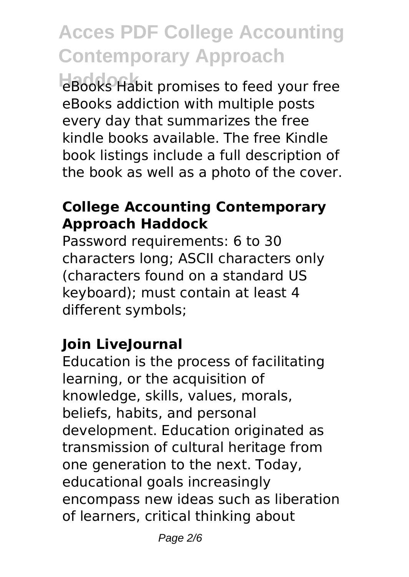# **Acces PDF College Accounting Contemporary Approach**

**Haddock** eBooks Habit promises to feed your free eBooks addiction with multiple posts every day that summarizes the free kindle books available. The free Kindle book listings include a full description of the book as well as a photo of the cover.

### **College Accounting Contemporary Approach Haddock**

Password requirements: 6 to 30 characters long; ASCII characters only (characters found on a standard US keyboard); must contain at least 4 different symbols;

### **Join LiveJournal**

Education is the process of facilitating learning, or the acquisition of knowledge, skills, values, morals, beliefs, habits, and personal development. Education originated as transmission of cultural heritage from one generation to the next. Today, educational goals increasingly encompass new ideas such as liberation of learners, critical thinking about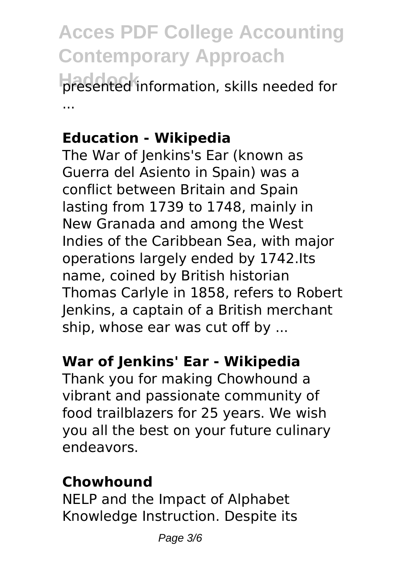# **Acces PDF College Accounting Contemporary Approach**

**Haddock** presented information, skills needed for ...

### **Education - Wikipedia**

The War of Jenkins's Ear (known as Guerra del Asiento in Spain) was a conflict between Britain and Spain lasting from 1739 to 1748, mainly in New Granada and among the West Indies of the Caribbean Sea, with major operations largely ended by 1742.Its name, coined by British historian Thomas Carlyle in 1858, refers to Robert Jenkins, a captain of a British merchant ship, whose ear was cut off by ...

### **War of Jenkins' Ear - Wikipedia**

Thank you for making Chowhound a vibrant and passionate community of food trailblazers for 25 years. We wish you all the best on your future culinary endeavors.

#### **Chowhound**

NELP and the Impact of Alphabet Knowledge Instruction. Despite its

Page 3/6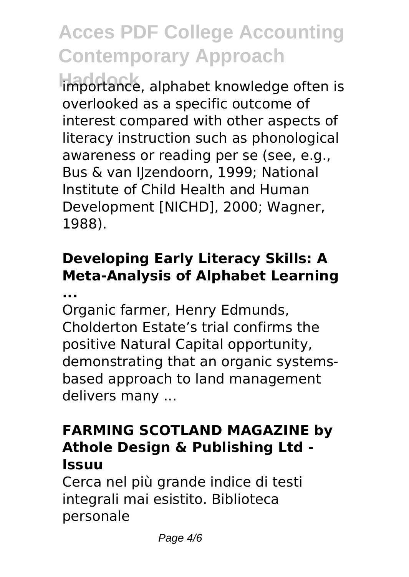# **Acces PDF College Accounting Contemporary Approach**

**Haddock** importance, alphabet knowledge often is overlooked as a specific outcome of interest compared with other aspects of literacy instruction such as phonological awareness or reading per se (see, e.g., Bus & van IJzendoorn, 1999; National Institute of Child Health and Human Development [NICHD], 2000; Wagner, 1988).

### **Developing Early Literacy Skills: A Meta-Analysis of Alphabet Learning ...**

Organic farmer, Henry Edmunds, Cholderton Estate's trial confirms the positive Natural Capital opportunity, demonstrating that an organic systemsbased approach to land management delivers many ...

### **FARMING SCOTLAND MAGAZINE by Athole Design & Publishing Ltd - Issuu**

Cerca nel più grande indice di testi integrali mai esistito. Biblioteca personale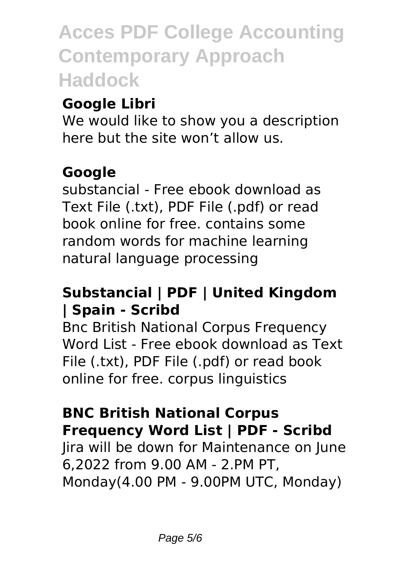**Acces PDF College Accounting Contemporary Approach Haddock**

### **Google Libri**

We would like to show you a description here but the site won't allow us.

### **Google**

substancial - Free ebook download as Text File (.txt), PDF File (.pdf) or read book online for free. contains some random words for machine learning natural language processing

### **Substancial | PDF | United Kingdom | Spain - Scribd**

Bnc British National Corpus Frequency Word List - Free ebook download as Text File (.txt), PDF File (.pdf) or read book online for free. corpus linguistics

### **BNC British National Corpus Frequency Word List | PDF - Scribd**

Jira will be down for Maintenance on June 6,2022 from 9.00 AM - 2.PM PT, Monday(4.00 PM - 9.00PM UTC, Monday)